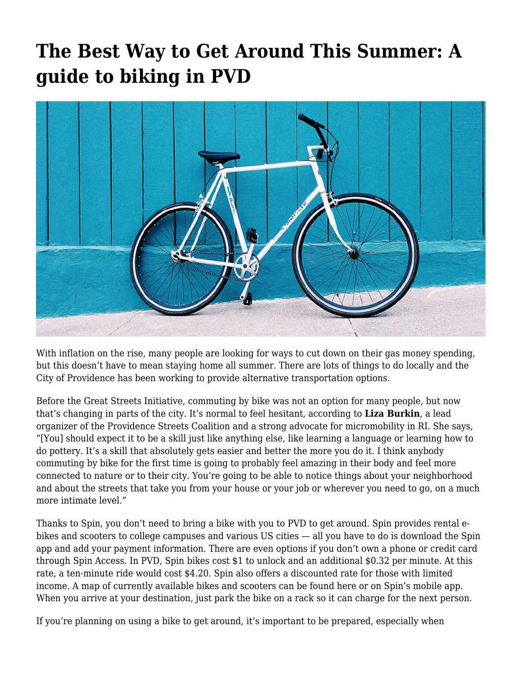## **[The Best Way to Get Around This Summer: A](https://motifri.com/the-best-way-to-get-around/) [guide to biking in PVD](https://motifri.com/the-best-way-to-get-around/)**



With inflation on the rise, many people are looking for ways to cut down on their gas money spending, but this doesn't have to mean staying home all summer. There are lots of things to do locally and the City of Providence has been working to provide alternative transportation options.

Before the [Great Streets Initiative](https://www.providenceri.gov/planning/great-streets/#:~:text=The%20Providence%20Great%20Streets%20Initiative,healthy%2C%20inclusive%2C%20and%20vibrant.), commuting by bike was not an option for many people, but now that's changing in parts of the city. It's normal to feel hesitant, according to **Liza Burkin**, a lead organizer of the Providence Streets Coalition and a strong advocate for micromobility in RI. She says, "[You] should expect it to be a skill just like anything else, like learning a language or learning how to do pottery. It's a skill that absolutely gets easier and better the more you do it. I think anybody commuting by bike for the first time is going to probably feel amazing in their body and feel more connected to nature or to their city. You're going to be able to notice things about your neighborhood and about the streets that take you from your house or your job or wherever you need to go, on a much more intimate level."

Thanks to Spin, you don't need to bring a bike with you to PVD to get around. Spin provides rental ebikes and scooters to college campuses and various US cities — all you have to do is download the Spin app and add your payment information. There are even options if you don't own a phone or credit card through Spin Access. In PVD, Spin bikes cost \$1 to unlock and an additional \$0.32 per minute. At this rate, a ten-minute ride would cost \$4.20. Spin also offers a discounted rate for those with limited income. A map of currently available bikes and scooters can be found here or on Spin's mobile app. When you arrive at your destination, just park the bike on a rack so it can charge for the next person.

If you're planning on using a bike to get around, it's important to be prepared, especially when